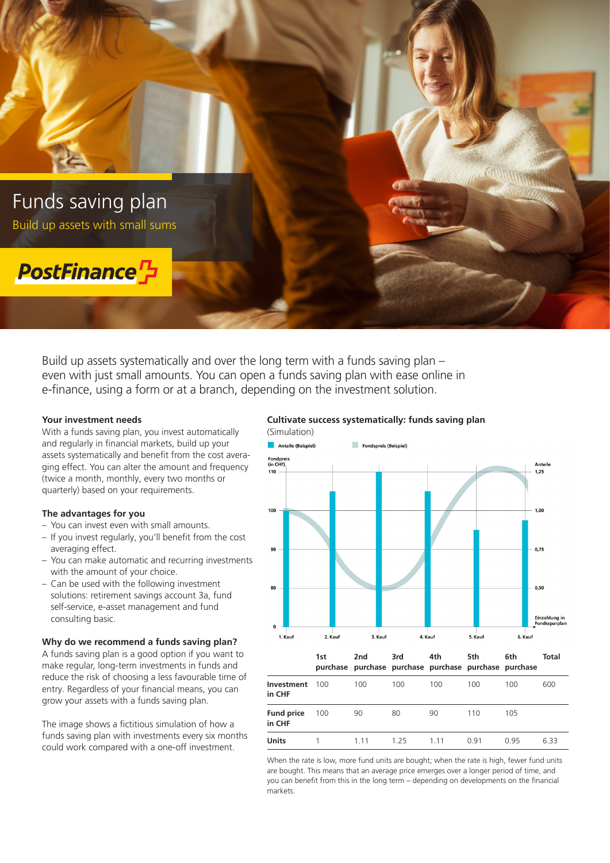

Build up assets systematically and over the long term with a funds saving plan – even with just small amounts. You can open a funds saving plan with ease online in e-finance, using a form or at a branch, depending on the investment solution.

## **Your investment needs**

With a funds saving plan, you invest automatically and regularly in financial markets, build up your assets systematically and benefit from the cost averaging effect. You can alter the amount and frequency (twice a month, monthly, every two months or quarterly) based on your requirements.

#### **The advantages for you**

- You can invest even with small amounts.
- If you invest regularly, you'll benefit from the cost averaging effect.
- You can make automatic and recurring investments with the amount of your choice.
- Can be used with the following investment solutions: retirement savings account 3a, fund self-service, e-asset management and fund consulting basic.

#### **Why do we recommend a funds saving plan?**

A funds saving plan is a good option if you want to make regular, long-term investments in funds and reduce the risk of choosing a less favourable time of entry. Regardless of your financial means, you can grow your assets with a funds saving plan.

The image shows a fictitious simulation of how a funds saving plan with investments every six months could work compared with a one-off investment.

# **Cultivate success systematically: funds saving plan**



When the rate is low, more fund units are bought; when the rate is high, fewer fund units are bought. This means that an average price emerges over a longer period of time, and you can benefit from this in the long term – depending on developments on the financial markets.